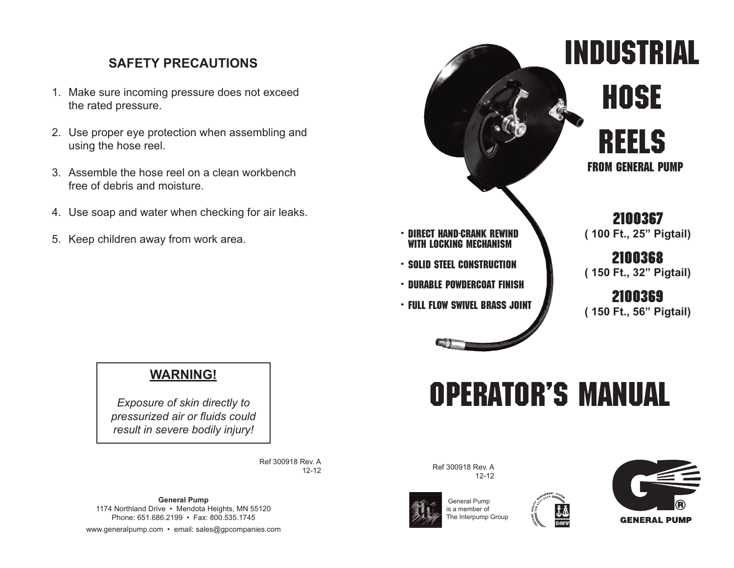## **SAFETY PRECAUTIONS**

- 1. Make sure incoming pressure does not exceed the rated pressure.
- 2. Use proper eye protection when assembling and using the hose reel.
- 3. Assemble the hose reel on a clean workbench free of debris and moisture.
- 4. Use soap and water when checking for air leaks.
- 5. Keep children away from work area.



# **operator's manual**



*Exposure of skin directly to pressurized air or fluids could result in severe bodily injury!*

> Ref 300918 Rev. A 12-12

**General Pump** 1174 Northland Drive • Mendota Heights, MN 55120 Phone: 651.686.2199 • Fax: 800.535.1745 www.generalpump.com • email: sales@gpcompanies.com Ref 300918 Rev. A 12-12